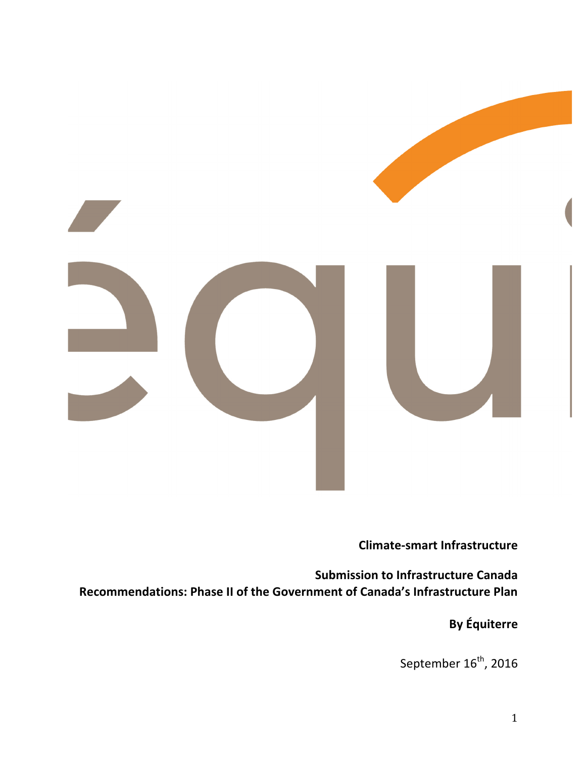

# **Climate-smart Infrastructure**

**Submission to Infrastructure Canada** Recommendations: Phase II of the Government of Canada's Infrastructure Plan

**By Équiterre**

September  $16^{\text{th}}$ , 2016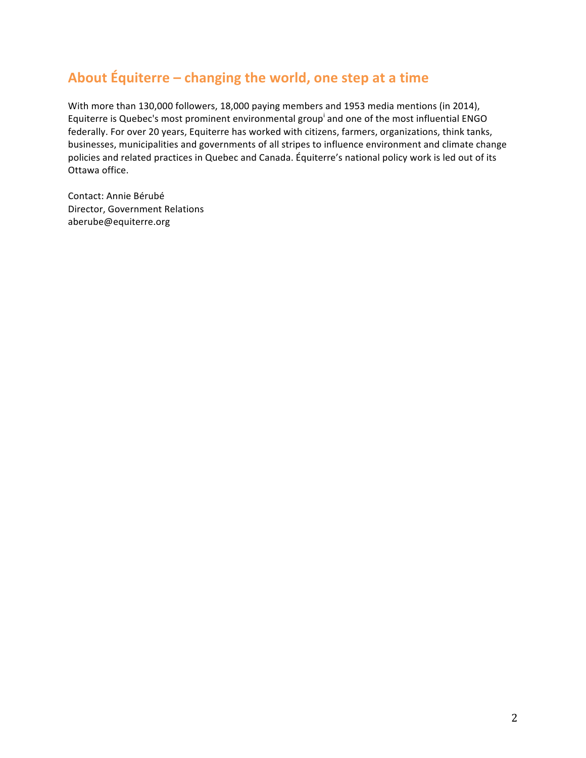# About Équiterre – changing the world, one step at a time

With more than 130,000 followers, 18,000 paying members and 1953 media mentions (in 2014), Equiterre is Quebec's most prominent environmental group<sup>i</sup> and one of the most influential ENGO federally. For over 20 years, Equiterre has worked with citizens, farmers, organizations, think tanks, businesses, municipalities and governments of all stripes to influence environment and climate change policies and related practices in Quebec and Canada. Équiterre's national policy work is led out of its Ottawa office. 

Contact: Annie Bérubé Director, Government Relations aberube@equiterre.org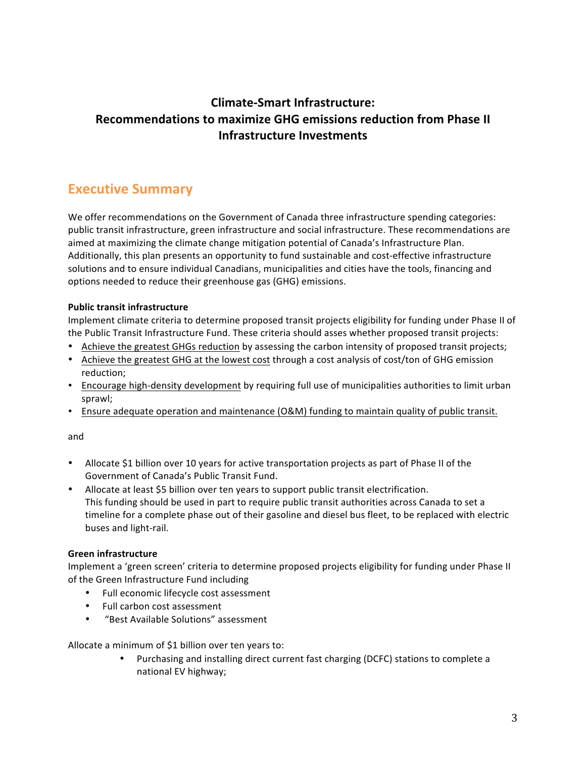# **Climate-Smart Infrastructure: Recommendations to maximize GHG emissions reduction from Phase II Infrastructure Investments**

# **Executive Summary**

We offer recommendations on the Government of Canada three infrastructure spending categories: public transit infrastructure, green infrastructure and social infrastructure. These recommendations are aimed at maximizing the climate change mitigation potential of Canada's Infrastructure Plan. Additionally, this plan presents an opportunity to fund sustainable and cost-effective infrastructure solutions and to ensure individual Canadians, municipalities and cities have the tools, financing and options needed to reduce their greenhouse gas (GHG) emissions.

#### **Public transit infrastructure**

Implement climate criteria to determine proposed transit projects eligibility for funding under Phase II of the Public Transit Infrastructure Fund. These criteria should asses whether proposed transit projects:

- Achieve the greatest GHGs reduction by assessing the carbon intensity of proposed transit projects;
- Achieve the greatest GHG at the lowest cost through a cost analysis of cost/ton of GHG emission reduction;
- Encourage high-density development by requiring full use of municipalities authorities to limit urban sprawl;
- Ensure adequate operation and maintenance (O&M) funding to maintain quality of public transit.

#### and

- Allocate \$1 billion over 10 years for active transportation projects as part of Phase II of the Government of Canada's Public Transit Fund.
- Allocate at least \$5 billion over ten years to support public transit electrification. This funding should be used in part to require public transit authorities across Canada to set a timeline for a complete phase out of their gasoline and diesel bus fleet, to be replaced with electric buses and light-rail.

### **Green infrastructure**

Implement a 'green screen' criteria to determine proposed projects eligibility for funding under Phase II of the Green Infrastructure Fund including

- Full economic lifecycle cost assessment
- Full carbon cost assessment
- "Best Available Solutions" assessment

Allocate a minimum of \$1 billion over ten years to:

• Purchasing and installing direct current fast charging (DCFC) stations to complete a national EV highway;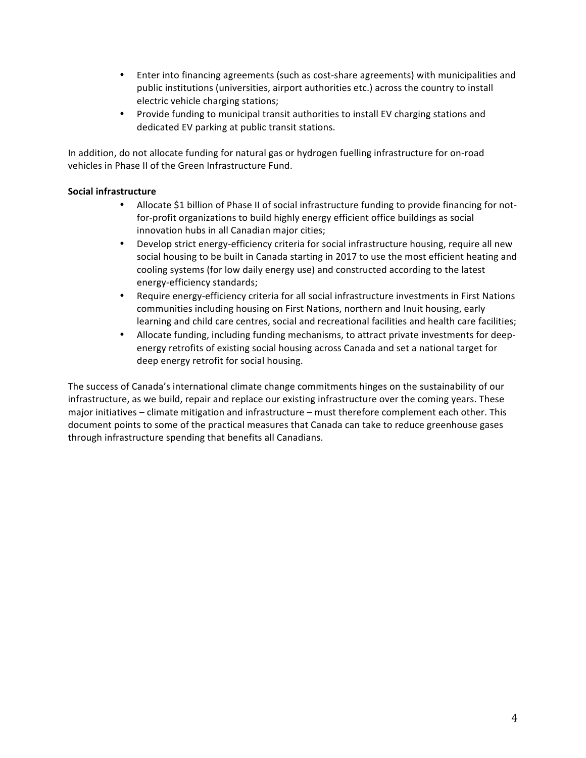- Enter into financing agreements (such as cost-share agreements) with municipalities and public institutions (universities, airport authorities etc.) across the country to install electric vehicle charging stations;
- Provide funding to municipal transit authorities to install EV charging stations and dedicated EV parking at public transit stations.

In addition, do not allocate funding for natural gas or hydrogen fuelling infrastructure for on-road vehicles in Phase II of the Green Infrastructure Fund.

### **Social infrastructure**

- Allocate \$1 billion of Phase II of social infrastructure funding to provide financing for notfor-profit organizations to build highly energy efficient office buildings as social innovation hubs in all Canadian major cities;
- Develop strict energy-efficiency criteria for social infrastructure housing, require all new social housing to be built in Canada starting in 2017 to use the most efficient heating and cooling systems (for low daily energy use) and constructed according to the latest energy-efficiency standards;
- Require energy-efficiency criteria for all social infrastructure investments in First Nations communities including housing on First Nations, northern and Inuit housing, early learning and child care centres, social and recreational facilities and health care facilities;
- Allocate funding, including funding mechanisms, to attract private investments for deepenergy retrofits of existing social housing across Canada and set a national target for deep energy retrofit for social housing.

The success of Canada's international climate change commitments hinges on the sustainability of our infrastructure, as we build, repair and replace our existing infrastructure over the coming years. These major initiatives – climate mitigation and infrastructure – must therefore complement each other. This document points to some of the practical measures that Canada can take to reduce greenhouse gases through infrastructure spending that benefits all Canadians.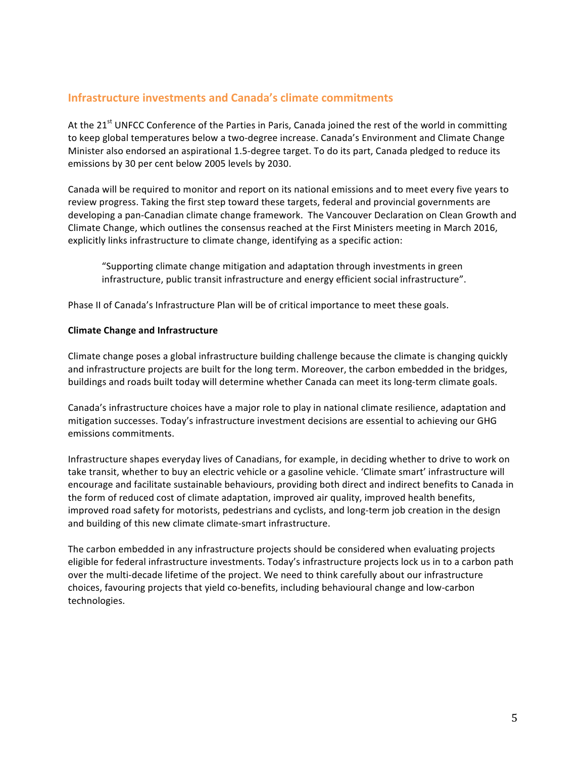### **Infrastructure investments and Canada's climate commitments**

At the 21<sup>st</sup> UNFCC Conference of the Parties in Paris, Canada joined the rest of the world in committing to keep global temperatures below a two-degree increase. Canada's Environment and Climate Change Minister also endorsed an aspirational 1.5-degree target. To do its part, Canada pledged to reduce its emissions by 30 per cent below 2005 levels by 2030.

Canada will be required to monitor and report on its national emissions and to meet every five years to review progress. Taking the first step toward these targets, federal and provincial governments are developing a pan-Canadian climate change framework. The Vancouver Declaration on Clean Growth and Climate Change, which outlines the consensus reached at the First Ministers meeting in March 2016, explicitly links infrastructure to climate change, identifying as a specific action:

"Supporting climate change mitigation and adaptation through investments in green infrastructure, public transit infrastructure and energy efficient social infrastructure".

Phase II of Canada's Infrastructure Plan will be of critical importance to meet these goals.

#### **Climate Change and Infrastructure**

Climate change poses a global infrastructure building challenge because the climate is changing quickly and infrastructure projects are built for the long term. Moreover, the carbon embedded in the bridges, buildings and roads built today will determine whether Canada can meet its long-term climate goals.

Canada's infrastructure choices have a major role to play in national climate resilience, adaptation and mitigation successes. Today's infrastructure investment decisions are essential to achieving our GHG emissions commitments.

Infrastructure shapes everyday lives of Canadians, for example, in deciding whether to drive to work on take transit, whether to buy an electric vehicle or a gasoline vehicle. 'Climate smart' infrastructure will encourage and facilitate sustainable behaviours, providing both direct and indirect benefits to Canada in the form of reduced cost of climate adaptation, improved air quality, improved health benefits, improved road safety for motorists, pedestrians and cyclists, and long-term job creation in the design and building of this new climate climate-smart infrastructure.

The carbon embedded in any infrastructure projects should be considered when evaluating projects eligible for federal infrastructure investments. Today's infrastructure projects lock us in to a carbon path over the multi-decade lifetime of the project. We need to think carefully about our infrastructure choices, favouring projects that yield co-benefits, including behavioural change and low-carbon technologies.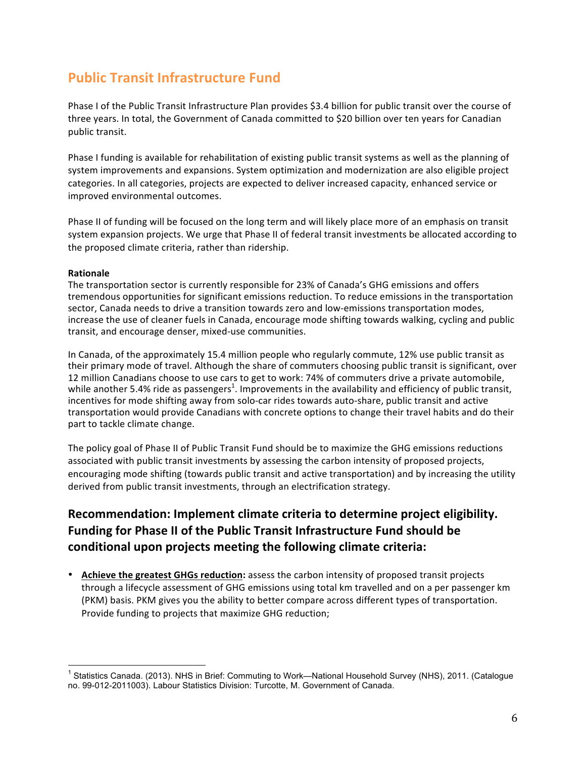# **Public Transit Infrastructure Fund**

Phase I of the Public Transit Infrastructure Plan provides \$3.4 billion for public transit over the course of three years. In total, the Government of Canada committed to \$20 billion over ten years for Canadian public transit.

Phase I funding is available for rehabilitation of existing public transit systems as well as the planning of system improvements and expansions. System optimization and modernization are also eligible project categories. In all categories, projects are expected to deliver increased capacity, enhanced service or improved environmental outcomes.

Phase II of funding will be focused on the long term and will likely place more of an emphasis on transit system expansion projects. We urge that Phase II of federal transit investments be allocated according to the proposed climate criteria, rather than ridership.

#### **Rationale**

The transportation sector is currently responsible for 23% of Canada's GHG emissions and offers tremendous opportunities for significant emissions reduction. To reduce emissions in the transportation sector, Canada needs to drive a transition towards zero and low-emissions transportation modes, increase the use of cleaner fuels in Canada, encourage mode shifting towards walking, cycling and public transit, and encourage denser, mixed-use communities.

In Canada, of the approximately 15.4 million people who regularly commute, 12% use public transit as their primary mode of travel. Although the share of commuters choosing public transit is significant, over 12 million Canadians choose to use cars to get to work: 74% of commuters drive a private automobile, while another 5.4% ride as passengers<sup>1</sup>. Improvements in the availability and efficiency of public transit, incentives for mode shifting away from solo-car rides towards auto-share, public transit and active transportation would provide Canadians with concrete options to change their travel habits and do their part to tackle climate change.

The policy goal of Phase II of Public Transit Fund should be to maximize the GHG emissions reductions associated with public transit investments by assessing the carbon intensity of proposed projects, encouraging mode shifting (towards public transit and active transportation) and by increasing the utility derived from public transit investments, through an electrification strategy.

# **Recommendation: Implement climate criteria to determine project eligibility. Funding for Phase II of the Public Transit Infrastructure Fund should be** conditional upon projects meeting the following climate criteria:

• **Achieve the greatest GHGs reduction:** assess the carbon intensity of proposed transit projects through a lifecycle assessment of GHG emissions using total km travelled and on a per passenger km (PKM) basis. PKM gives you the ability to better compare across different types of transportation. Provide funding to projects that maximize GHG reduction;

<sup>&</sup>lt;sup>1</sup> Statistics Canada. (2013). NHS in Brief: Commuting to Work—National Household Survey (NHS), 2011. (Catalogue no. 99-012-2011003). Labour Statistics Division: Turcotte, M. Government of Canada.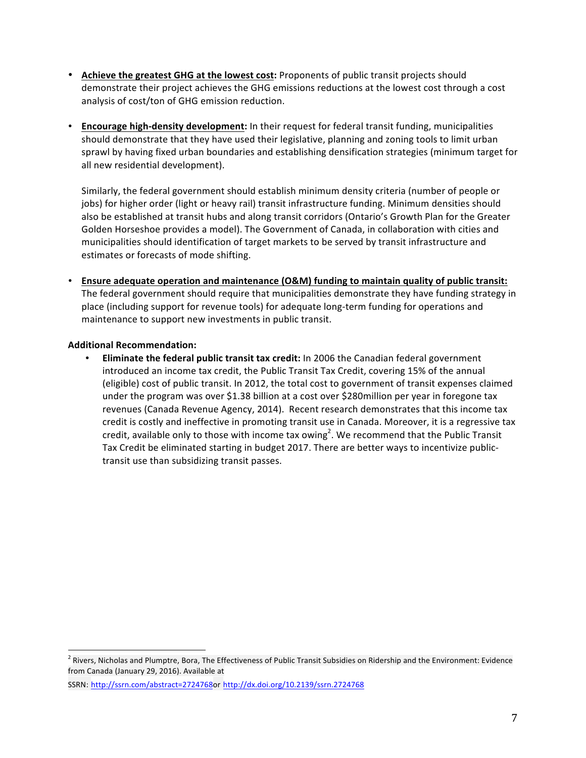- Achieve the greatest GHG at the lowest cost: Proponents of public transit projects should demonstrate their project achieves the GHG emissions reductions at the lowest cost through a cost analysis of cost/ton of GHG emission reduction.
- Encourage high-density development: In their request for federal transit funding, municipalities should demonstrate that they have used their legislative, planning and zoning tools to limit urban sprawl by having fixed urban boundaries and establishing densification strategies (minimum target for all new residential development).

Similarly, the federal government should establish minimum density criteria (number of people or jobs) for higher order (light or heavy rail) transit infrastructure funding. Minimum densities should also be established at transit hubs and along transit corridors (Ontario's Growth Plan for the Greater Golden Horseshoe provides a model). The Government of Canada, in collaboration with cities and municipalities should identification of target markets to be served by transit infrastructure and estimates or forecasts of mode shifting.

• Ensure adequate operation and maintenance (O&M) funding to maintain quality of public transit: The federal government should require that municipalities demonstrate they have funding strategy in place (including support for revenue tools) for adequate long-term funding for operations and maintenance to support new investments in public transit.

### **Additional Recommendation:**

**Eliminate the federal public transit tax credit:** In 2006 the Canadian federal government introduced an income tax credit, the Public Transit Tax Credit, covering 15% of the annual (eligible) cost of public transit. In 2012, the total cost to government of transit expenses claimed under the program was over \$1.38 billion at a cost over \$280 million per year in foregone tax revenues (Canada Revenue Agency, 2014). Recent research demonstrates that this income tax credit is costly and ineffective in promoting transit use in Canada. Moreover, it is a regressive tax credit, available only to those with income tax owing<sup>2</sup>. We recommend that the Public Transit Tax Credit be eliminated starting in budget 2017. There are better ways to incentivize publictransit use than subsidizing transit passes.

 $2$  Rivers, Nicholas and Plumptre, Bora, The Effectiveness of Public Transit Subsidies on Ridership and the Environment: Evidence from Canada (January 29, 2016). Available at

SSRN: http://ssrn.com/abstract=2724768or http://dx.doi.org/10.2139/ssrn.2724768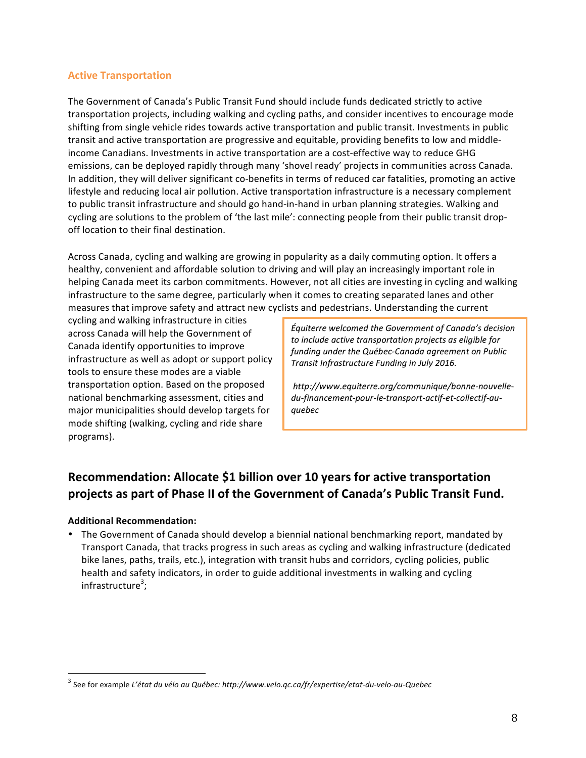#### **Active Transportation**

The Government of Canada's Public Transit Fund should include funds dedicated strictly to active transportation projects, including walking and cycling paths, and consider incentives to encourage mode shifting from single vehicle rides towards active transportation and public transit. Investments in public transit and active transportation are progressive and equitable, providing benefits to low and middleincome Canadians. Investments in active transportation are a cost-effective way to reduce GHG emissions, can be deployed rapidly through many 'shovel ready' projects in communities across Canada. In addition, they will deliver significant co-benefits in terms of reduced car fatalities, promoting an active lifestyle and reducing local air pollution. Active transportation infrastructure is a necessary complement to public transit infrastructure and should go hand-in-hand in urban planning strategies. Walking and cycling are solutions to the problem of 'the last mile': connecting people from their public transit dropoff location to their final destination.

Across Canada, cycling and walking are growing in popularity as a daily commuting option. It offers a healthy, convenient and affordable solution to driving and will play an increasingly important role in helping Canada meet its carbon commitments. However, not all cities are investing in cycling and walking infrastructure to the same degree, particularly when it comes to creating separated lanes and other measures that improve safety and attract new cyclists and pedestrians. Understanding the current

cycling and walking infrastructure in cities across Canada will help the Government of Canada identify opportunities to improve infrastructure as well as adopt or support policy tools to ensure these modes are a viable transportation option. Based on the proposed national benchmarking assessment, cities and major municipalities should develop targets for mode shifting (walking, cycling and ride share programs). 

*Équiterre welcomed the Government of Canada's decision*  to include active transportation projects as eligible for funding under the Québec-Canada agreement on Public *Transit Infrastructure Funding in July 2016.*

*http://www.equiterre.org/communique/bonne-nouvelledu-financement-pour-le-transport-actif-et-collectif-auquebec*

# Recommendation: Allocate \$1 billion over 10 years for active transportation projects as part of Phase II of the Government of Canada's Public Transit Fund.

#### **Additional Recommendation:**

The Government of Canada should develop a biennial national benchmarking report, mandated by Transport Canada, that tracks progress in such areas as cycling and walking infrastructure (dedicated bike lanes, paths, trails, etc.), integration with transit hubs and corridors, cycling policies, public health and safety indicators, in order to guide additional investments in walking and cycling infrastructure<sup>3</sup>;

See for example *L'état du vélo au Québec: http://www.velo.qc.ca/fr/expertise/etat-du-velo-au-Quebec*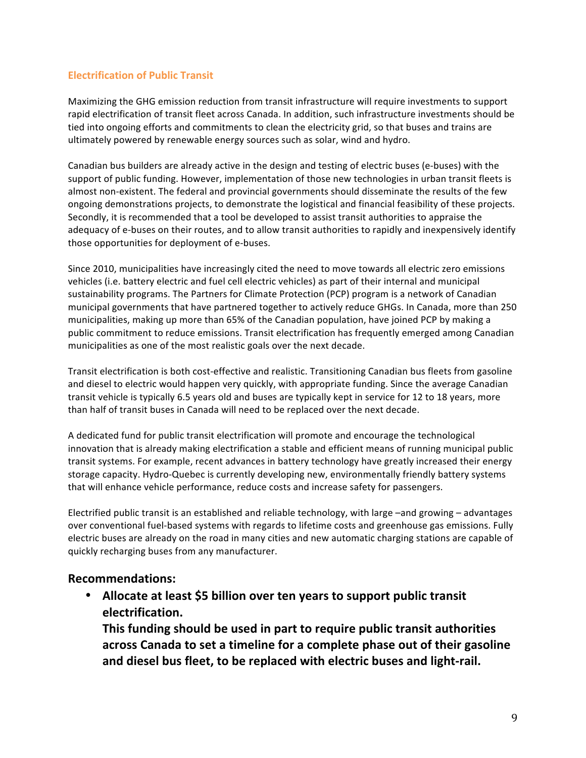### **Electrification of Public Transit**

Maximizing the GHG emission reduction from transit infrastructure will require investments to support rapid electrification of transit fleet across Canada. In addition, such infrastructure investments should be tied into ongoing efforts and commitments to clean the electricity grid, so that buses and trains are ultimately powered by renewable energy sources such as solar, wind and hydro.

Canadian bus builders are already active in the design and testing of electric buses (e-buses) with the support of public funding. However, implementation of those new technologies in urban transit fleets is almost non-existent. The federal and provincial governments should disseminate the results of the few ongoing demonstrations projects, to demonstrate the logistical and financial feasibility of these projects. Secondly, it is recommended that a tool be developed to assist transit authorities to appraise the adequacy of e-buses on their routes, and to allow transit authorities to rapidly and inexpensively identify those opportunities for deployment of e-buses.

Since 2010, municipalities have increasingly cited the need to move towards all electric zero emissions vehicles (i.e. battery electric and fuel cell electric vehicles) as part of their internal and municipal sustainability programs. The Partners for Climate Protection (PCP) program is a network of Canadian municipal governments that have partnered together to actively reduce GHGs. In Canada, more than 250 municipalities, making up more than 65% of the Canadian population, have joined PCP by making a public commitment to reduce emissions. Transit electrification has frequently emerged among Canadian municipalities as one of the most realistic goals over the next decade.

Transit electrification is both cost-effective and realistic. Transitioning Canadian bus fleets from gasoline and diesel to electric would happen very quickly, with appropriate funding. Since the average Canadian transit vehicle is typically 6.5 years old and buses are typically kept in service for 12 to 18 years, more than half of transit buses in Canada will need to be replaced over the next decade.

A dedicated fund for public transit electrification will promote and encourage the technological innovation that is already making electrification a stable and efficient means of running municipal public transit systems. For example, recent advances in battery technology have greatly increased their energy storage capacity. Hydro-Quebec is currently developing new, environmentally friendly battery systems that will enhance vehicle performance, reduce costs and increase safety for passengers.

Electrified public transit is an established and reliable technology, with large -and growing - advantages over conventional fuel-based systems with regards to lifetime costs and greenhouse gas emissions. Fully electric buses are already on the road in many cities and new automatic charging stations are capable of quickly recharging buses from any manufacturer.

## **Recommendations:**

• Allocate at least \$5 billion over ten years to support public transit **electrification.**

**This funding should be used in part to require public transit authorities** across Canada to set a timeline for a complete phase out of their gasoline **and diesel bus fleet, to be replaced with electric buses and light-rail.**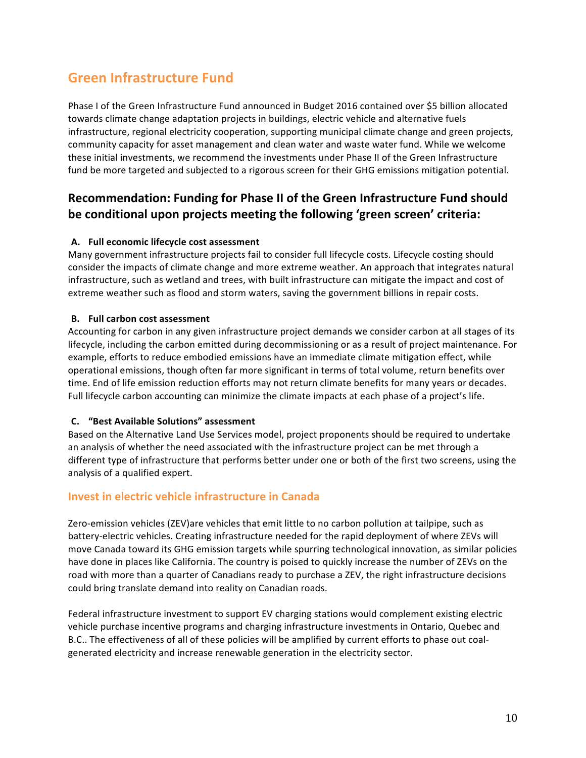# **Green Infrastructure Fund**

Phase I of the Green Infrastructure Fund announced in Budget 2016 contained over \$5 billion allocated towards climate change adaptation projects in buildings, electric vehicle and alternative fuels infrastructure, regional electricity cooperation, supporting municipal climate change and green projects, community capacity for asset management and clean water and waste water fund. While we welcome these initial investments, we recommend the investments under Phase II of the Green Infrastructure fund be more targeted and subjected to a rigorous screen for their GHG emissions mitigation potential.

## **Recommendation: Funding for Phase II of the Green Infrastructure Fund should** be conditional upon projects meeting the following 'green screen' criteria:

### **A. Full economic lifecycle cost assessment**

Many government infrastructure projects fail to consider full lifecycle costs. Lifecycle costing should consider the impacts of climate change and more extreme weather. An approach that integrates natural infrastructure, such as wetland and trees, with built infrastructure can mitigate the impact and cost of extreme weather such as flood and storm waters, saving the government billions in repair costs.

#### **B.** Full carbon cost assessment

Accounting for carbon in any given infrastructure project demands we consider carbon at all stages of its lifecycle, including the carbon emitted during decommissioning or as a result of project maintenance. For example, efforts to reduce embodied emissions have an immediate climate mitigation effect, while operational emissions, though often far more significant in terms of total volume, return benefits over time. End of life emission reduction efforts may not return climate benefits for many years or decades. Full lifecycle carbon accounting can minimize the climate impacts at each phase of a project's life.

#### **C. "Best Available Solutions" assessment**

Based on the Alternative Land Use Services model, project proponents should be required to undertake an analysis of whether the need associated with the infrastructure project can be met through a different type of infrastructure that performs better under one or both of the first two screens, using the analysis of a qualified expert.

## **Invest in electric vehicle infrastructure in Canada**

Zero-emission vehicles (ZEV)are vehicles that emit little to no carbon pollution at tailpipe, such as battery-electric vehicles. Creating infrastructure needed for the rapid deployment of where ZEVs will move Canada toward its GHG emission targets while spurring technological innovation, as similar policies have done in places like California. The country is poised to quickly increase the number of ZEVs on the road with more than a quarter of Canadians ready to purchase a ZEV, the right infrastructure decisions could bring translate demand into reality on Canadian roads.

Federal infrastructure investment to support EV charging stations would complement existing electric vehicle purchase incentive programs and charging infrastructure investments in Ontario, Quebec and B.C.. The effectiveness of all of these policies will be amplified by current efforts to phase out coalgenerated electricity and increase renewable generation in the electricity sector.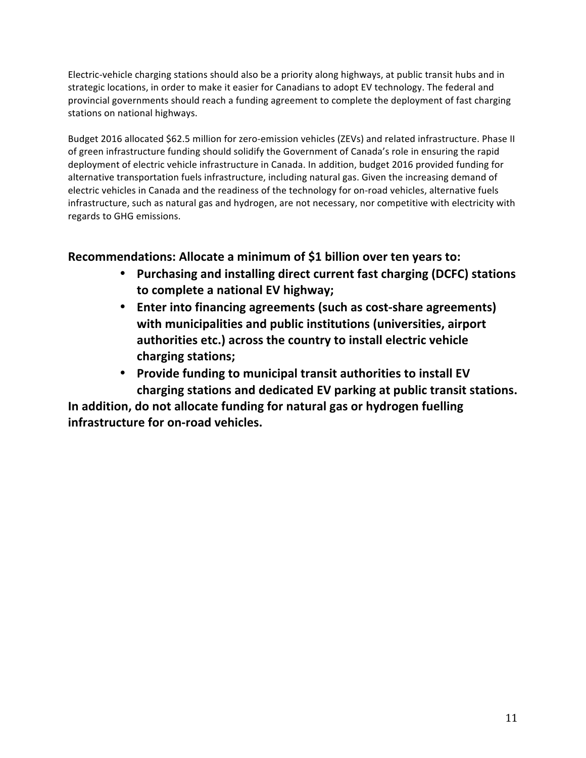Electric-vehicle charging stations should also be a priority along highways, at public transit hubs and in strategic locations, in order to make it easier for Canadians to adopt EV technology. The federal and provincial governments should reach a funding agreement to complete the deployment of fast charging stations on national highways.

Budget 2016 allocated \$62.5 million for zero-emission vehicles (ZEVs) and related infrastructure. Phase II of green infrastructure funding should solidify the Government of Canada's role in ensuring the rapid deployment of electric vehicle infrastructure in Canada. In addition, budget 2016 provided funding for alternative transportation fuels infrastructure, including natural gas. Given the increasing demand of electric vehicles in Canada and the readiness of the technology for on-road vehicles, alternative fuels infrastructure, such as natural gas and hydrogen, are not necessary, nor competitive with electricity with regards to GHG emissions.

# **Recommendations: Allocate a minimum of \$1 billion over ten years to:**

- Purchasing and installing direct current fast charging (DCFC) stations to complete a national EV highway;
- Enter into financing agreements (such as cost-share agreements) **with municipalities and public institutions (universities, airport** authorities etc.) across the country to install electric vehicle **charging stations;**
- Provide funding to municipal transit authorities to install EV **charging stations and dedicated EV parking at public transit stations.**

In addition, do not allocate funding for natural gas or hydrogen fuelling infrastructure for on-road vehicles.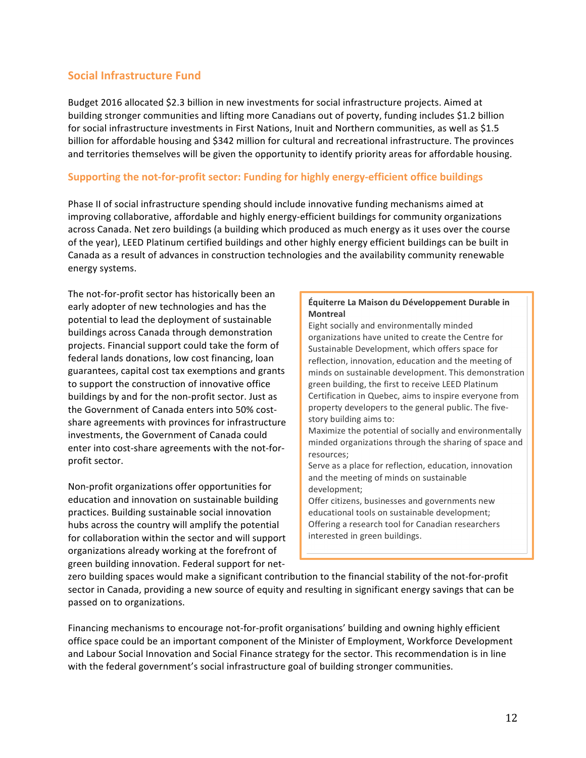### **Social Infrastructure Fund**

Budget 2016 allocated \$2.3 billion in new investments for social infrastructure projects. Aimed at building stronger communities and lifting more Canadians out of poverty, funding includes \$1.2 billion for social infrastructure investments in First Nations, Inuit and Northern communities, as well as \$1.5 billion for affordable housing and \$342 million for cultural and recreational infrastructure. The provinces and territories themselves will be given the opportunity to identify priority areas for affordable housing.

### **Supporting the not-for-profit sector: Funding for highly energy-efficient office buildings**

Phase II of social infrastructure spending should include innovative funding mechanisms aimed at improving collaborative, affordable and highly energy-efficient buildings for community organizations across Canada. Net zero buildings (a building which produced as much energy as it uses over the course of the year), LEED Platinum certified buildings and other highly energy efficient buildings can be built in Canada as a result of advances in construction technologies and the availability community renewable energy systems.

The not-for-profit sector has historically been an early adopter of new technologies and has the potential to lead the deployment of sustainable buildings across Canada through demonstration projects. Financial support could take the form of federal lands donations, low cost financing, loan guarantees, capital cost tax exemptions and grants to support the construction of innovative office buildings by and for the non-profit sector. Just as the Government of Canada enters into 50% costshare agreements with provinces for infrastructure investments, the Government of Canada could enter into cost-share agreements with the not-forprofit sector.

Non-profit organizations offer opportunities for education and innovation on sustainable building practices. Building sustainable social innovation hubs across the country will amplify the potential for collaboration within the sector and will support organizations already working at the forefront of green building innovation. Federal support for net-

#### **Équiterre La Maison du Développement Durable in Montreal**

Eight socially and environmentally minded organizations have united to create the Centre for Sustainable Development, which offers space for reflection, innovation, education and the meeting of minds on sustainable development. This demonstration green building, the first to receive LEED Platinum Certification in Quebec, aims to inspire everyone from property developers to the general public. The fivestory building aims to:

Maximize the potential of socially and environmentally minded organizations through the sharing of space and resources;

Serve as a place for reflection, education, innovation and the meeting of minds on sustainable development;

Offer citizens, businesses and governments new educational tools on sustainable development; Offering a research tool for Canadian researchers interested in green buildings.

zero building spaces would make a significant contribution to the financial stability of the not-for-profit sector in Canada, providing a new source of equity and resulting in significant energy savings that can be passed on to organizations.

See: lamdd.rog

Financing mechanisms to encourage not-for-profit organisations' building and owning highly efficient office space could be an important component of the Minister of Employment, Workforce Development and Labour Social Innovation and Social Finance strategy for the sector. This recommendation is in line with the federal government's social infrastructure goal of building stronger communities.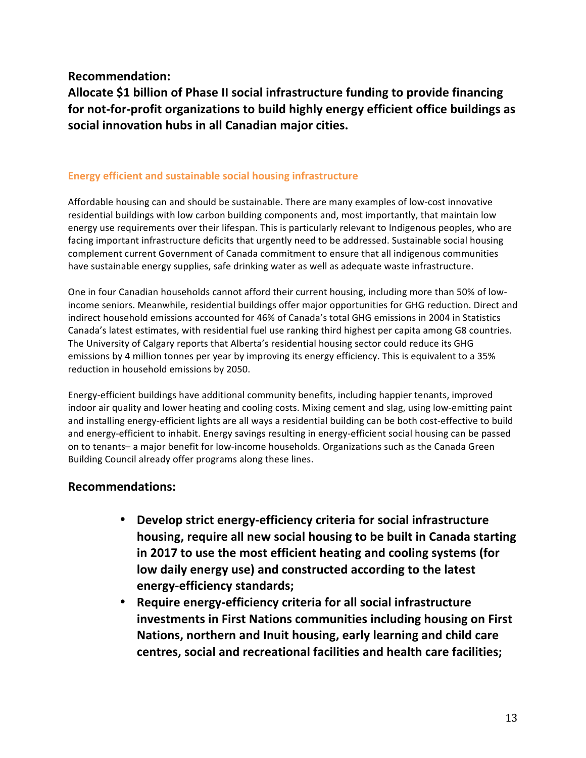**Recommendation:**

Allocate \$1 billion of Phase II social infrastructure funding to provide financing for not-for-profit organizations to build highly energy efficient office buildings as social innovation hubs in all Canadian major cities.

## **Energy efficient and sustainable social housing infrastructure**

Affordable housing can and should be sustainable. There are many examples of low-cost innovative residential buildings with low carbon building components and, most importantly, that maintain low energy use requirements over their lifespan. This is particularly relevant to Indigenous peoples, who are facing important infrastructure deficits that urgently need to be addressed. Sustainable social housing complement current Government of Canada commitment to ensure that all indigenous communities have sustainable energy supplies, safe drinking water as well as adequate waste infrastructure.

One in four Canadian households cannot afford their current housing, including more than 50% of lowincome seniors. Meanwhile, residential buildings offer major opportunities for GHG reduction. Direct and indirect household emissions accounted for 46% of Canada's total GHG emissions in 2004 in Statistics Canada's latest estimates, with residential fuel use ranking third highest per capita among G8 countries. The University of Calgary reports that Alberta's residential housing sector could reduce its GHG emissions by 4 million tonnes per year by improving its energy efficiency. This is equivalent to a 35% reduction in household emissions by 2050.

Energy-efficient buildings have additional community benefits, including happier tenants, improved indoor air quality and lower heating and cooling costs. Mixing cement and slag, using low-emitting paint and installing energy-efficient lights are all ways a residential building can be both cost-effective to build and energy-efficient to inhabit. Energy savings resulting in energy-efficient social housing can be passed on to tenants- a major benefit for low-income households. Organizations such as the Canada Green Building Council already offer programs along these lines.

## **Recommendations:**

- Develop strict energy-efficiency criteria for social infrastructure **housing, require all new social housing to be built in Canada starting in 2017 to use the most efficient heating and cooling systems (for low daily energy use) and constructed according to the latest energy-efficiency standards;**
- **Require energy-efficiency criteria for all social infrastructure investments in First Nations communities including housing on First** Nations, northern and Inuit housing, early learning and child care centres, social and recreational facilities and health care facilities;